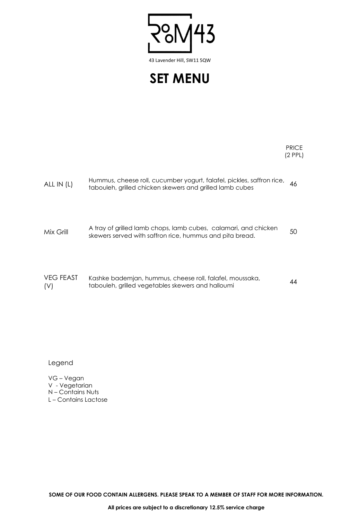43

43 Lavender Hill, SW11 5QW

**SET MENU**

PRICE (2 PPL)

| ALL IN (L)        | Hummus, cheese roll, cucumber yogurt, falafel, pickles, saffron rice,<br>tabouleh, grilled chicken skewers and grilled lamb cubes | 46 |
|-------------------|-----------------------------------------------------------------------------------------------------------------------------------|----|
|                   |                                                                                                                                   |    |
| Mix Grill         | A tray of grilled lamb chops, lamb cubes, calamari, and chicken<br>skewers served with saffron rice, hummus and pita bread.       | 50 |
| $VCT$ $CCT$ $ACT$ | المترابع ووزراه ومرارا والمسالم الرابعين والمواصل والمستحدث والمسترات والمرابط المستقل والماوية كالمرامية                         |    |

| <b>VEG FEAST</b> | Kashke bademjan, hummus, cheese roll, falafel, moussaka, | 44 |
|------------------|----------------------------------------------------------|----|
| (V)              | tabouleh, grilled vegetables skewers and halloumi        |    |

Legend

VG – Vegan V - Vegetarian N – Contains Nuts L – Contains Lactose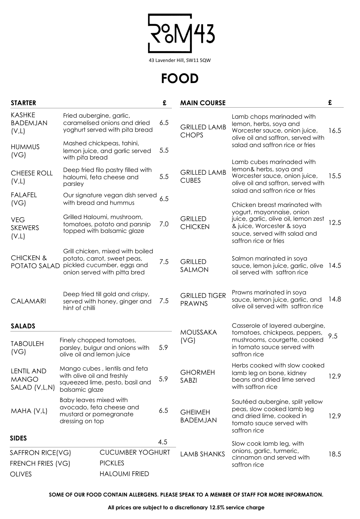$\sqrt{43}$  $\frac{1}{2}$ 

43 Lavender Hill, SW11 5QW

**FOOD**

| <b>STARTER</b>                                     |                                              |                                                                                                                               | £   | <b>MAIN COURSE</b>                    |                                                                                                                                                         | £               |
|----------------------------------------------------|----------------------------------------------|-------------------------------------------------------------------------------------------------------------------------------|-----|---------------------------------------|---------------------------------------------------------------------------------------------------------------------------------------------------------|-----------------|
| <b>KASHKE</b><br><b>BADEMJAN</b><br>(V,L)          |                                              | Fried aubergine, garlic,<br>caramelised onions and dried<br>yoghurt served with pita bread                                    | 6.5 | <b>GRILLED LAMB</b><br><b>CHOPS</b>   | Lamb chops marinaded with<br>lemon, herbs, soya and<br>Worcester sauce, onion juice,                                                                    | 16.5            |
| <b>HUMMUS</b><br>(VG)                              | with pita bread                              | Mashed chickpeas, tahini,<br>lemon juice, and garlic served                                                                   | 5.5 |                                       | olive oil and saffron, served with<br>salad and saffron rice or fries                                                                                   |                 |
| <b>CHEESE ROLL</b><br>(V,L)                        | parsley                                      | Deep fried filo pastry filled with<br>haloumi, feta cheese and                                                                | 5.5 | <b>GRILLED LAMB</b><br><b>CUBES</b>   | Lamb cubes marinaded with<br>lemon& herbs, soya and<br>Worcester sauce, onion juice,<br>olive oil and saffron, served with                              | 15.5            |
| <b>FALAFEL</b><br>(VG)                             |                                              | Our signature vegan dish served<br>with bread and hummus                                                                      | 6.5 |                                       | salad and saffron rice or fries<br>Chicken breast marinated with                                                                                        |                 |
| <b>VEG</b><br><b>SKEWERS</b><br>(V,L)              |                                              | Grilled Haloumi, mushroom,<br>tomatoes, potato and parsnip<br>topped with balsamic glaze                                      | 7.0 | <b>GRILLED</b><br><b>CHICKEN</b>      | yogurt, mayonnaise, onion<br>juice, garlic, olive oil, lemon zest<br>& juice, Worcester & soya<br>sauce, served with salad and<br>saffron rice or fries | 12.5            |
| <b>CHICKEN &amp;</b><br>POTATO SALAD               |                                              | Grill chicken, mixed with boiled<br>potato, carrot, sweet peas,<br>pickled cucumber, eggs and<br>onion served with pitta bred | 7.5 | <b>GRILLED</b><br>SALMON              | Salmon marinated in soya<br>sauce, lemon juice, garlic, olive<br>oil served with saffron rice                                                           | <sup>14.5</sup> |
| <b>CALAMARI</b>                                    | hint of chilli                               | Deep fried till gold and crispy,<br>served with honey, ginger and                                                             | 7.5 | <b>GRILLED TIGER</b><br><b>PRAWNS</b> | Prawns marinated in soya<br>sauce, lemon juice, garlic, and<br>olive oil served with saffron rice                                                       | 14.8            |
| <b>SALADS</b>                                      |                                              |                                                                                                                               |     |                                       | Casserole of layered aubergine,                                                                                                                         |                 |
| <b>TABOULEH</b><br>(VG)                            | olive oil and lemon juice                    | Finely chopped tomatoes,<br>parsley, bulgur and onions with                                                                   | 5.9 | <b>MOUSSAKA</b><br>(VG)               | tomatoes, chickpeas, peppers,<br>mushrooms, courgette, cooked<br>in tomato sauce served with<br>saffron rice                                            | 9.5             |
| <b>LENTIL AND</b><br><b>MANGO</b><br>SALAD (V,L,N) | with olive oil and freshly<br>balsamic glaze | Mango cubes, lentils and feta<br>squeezed lime, pesto, basil and                                                              | 5.9 | <b>GHORMEH</b><br>SABZI               | Herbs cooked with slow cooked<br>lamb leg on bone, kidney<br>beans and dried lime served<br>with saffron rice                                           | 12.9            |
| MAHA (V,L)                                         | Baby leaves mixed with<br>dressing on top    | avocado, feta cheese and<br>mustard or pomegranate                                                                            | 6.5 | <b>GHEIMEH</b><br><b>BADEMJAN</b>     | Sautéed aubergine, split yellow<br>peas, slow cooked lamb leg<br>and dried lime, cooked in<br>tomato sauce served with<br>saffron rice                  | 12.9            |
| <b>SIDES</b>                                       |                                              |                                                                                                                               | 4.5 |                                       | Slow cook lamb leg, with                                                                                                                                |                 |
| SAFFRON RICE(VG)                                   |                                              | <b>CUCUMBER YOGHURT</b>                                                                                                       |     | <b>LAMB SHANKS</b>                    | onions, garlic, turmeric,<br>cinnamon and served with<br>saffron rice                                                                                   | 18.5            |
| <b>FRENCH FRIES (VG)</b>                           |                                              | <b>PICKLES</b>                                                                                                                |     |                                       |                                                                                                                                                         |                 |
| <b>OLIVES</b>                                      |                                              | <b>HALOUMI FRIED</b>                                                                                                          |     |                                       |                                                                                                                                                         |                 |

**SOME OF OUR FOOD CONTAIN ALLERGENS. PLEASE SPEAK TO A MEMBER OF STAFF FOR MORE INFORMATION.**